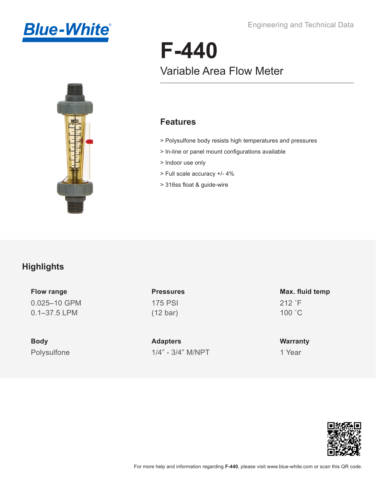Engineering and Technical Data





# **F-440** Variable Area Flow Meter

#### **Features**

- > Polysulfone body resists high temperatures and pressures
- > In-line or panel mount configurations available
- > Indoor use only
- > Full scale accuracy +/- 4%
- > 316ss float & guide-wire

#### **Highlights**

**Flow range** 0.025–10 GPM 0.1–37.5 LPM

**Body** Polysulfone **Pressures** 175 PSI (12 bar)

**Adapters** 1/4" - 3/4" M/NPT

**Max. fluid temp** 212 ˚F 100 ˚C

**Warranty** 1 Year

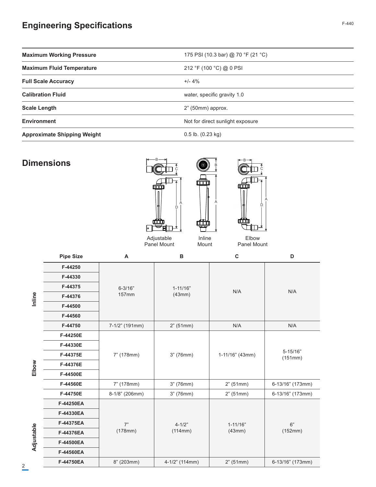#### **Engineering Specifications** F-440

| <b>Maximum Working Pressure</b>    | 175 PSI (10.3 bar) @ 70 °F (21 °C) |  |
|------------------------------------|------------------------------------|--|
| <b>Maximum Fluid Temperature</b>   | 212 °F (100 °C) @ 0 PSI            |  |
| <b>Full Scale Accuracy</b>         | $+/- 4%$                           |  |
| <b>Calibration Fluid</b>           | water, specific gravity 1.0        |  |
| <b>Scale Length</b>                | $2"$ (50mm) approx.                |  |
| <b>Environment</b>                 | Not for direct sunlight exposure   |  |
| <b>Approximate Shipping Weight</b> | $0.5$ lb. $(0.23$ kg)              |  |

#### **Dimensions**



**Inline**

**Elbow**

Adjustable **Adjustable**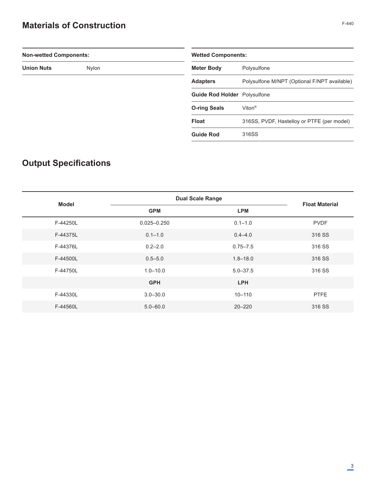### **Materials of Construction**

| <b>Non-wetted Components:</b> |                                     | <b>Wetted Components:</b>                    |  |
|-------------------------------|-------------------------------------|----------------------------------------------|--|
| <b>Union Nuts</b><br>Nylon    | <b>Meter Body</b>                   | Polysulfone                                  |  |
|                               | <b>Adapters</b>                     | Polysulfone M/NPT (Optional F/NPT available) |  |
|                               | <b>Guide Rod Holder</b> Polysulfone |                                              |  |
|                               | <b>O-ring Seals</b>                 | Viton <sup>®</sup>                           |  |
|                               | <b>Float</b>                        | 316SS, PVDF, Hastelloy or PTFE (per model)   |  |
|                               | <b>Guide Rod</b>                    | 316SS                                        |  |

## **Output Specifications**

| Model    | <b>Dual Scale Range</b> |              |                       |
|----------|-------------------------|--------------|-----------------------|
|          | <b>GPM</b>              | <b>LPM</b>   | <b>Float Material</b> |
| F-44250L | $0.025 - 0.250$         | $0.1 - 1.0$  | <b>PVDF</b>           |
| F-44375L | $0.1 - 1.0$             | $0.4 - 4.0$  | 316 SS                |
| F-44376L | $0.2 - 2.0$             | $0.75 - 7.5$ | 316 SS                |
| F-44500L | $0.5 - 5.0$             | $1.8 - 18.0$ | 316 SS                |
| F-44750L | $1.0 - 10.0$            | $5.0 - 37.5$ | 316 SS                |
|          | <b>GPH</b>              | <b>LPH</b>   |                       |
| F-44330L | $3.0 - 30.0$            | $10 - 110$   | <b>PTFE</b>           |
| F-44560L | $5.0 - 60.0$            | $20 - 220$   | 316 SS                |